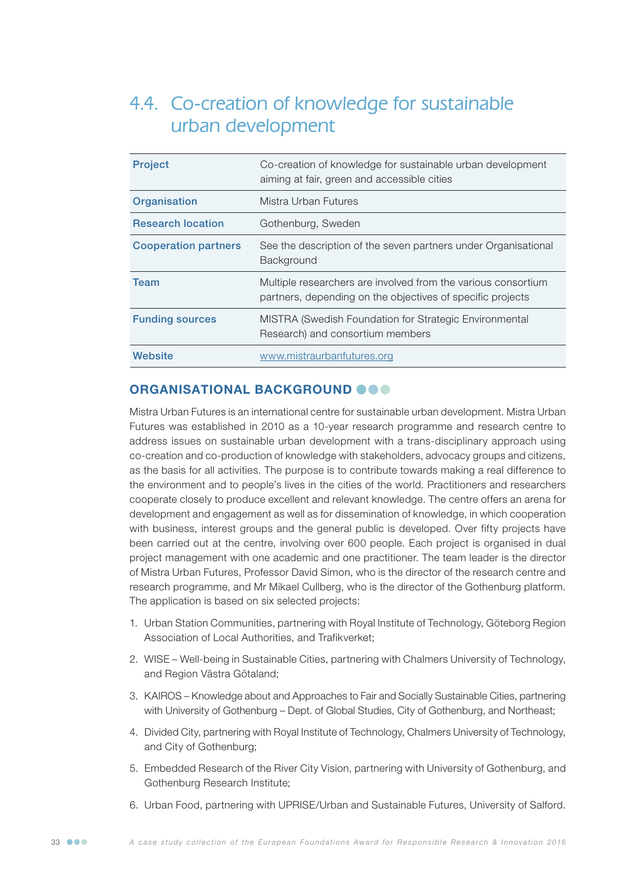# 4.4. Co-creation of knowledge for sustainable urban development

| <b>Project</b>              | Co-creation of knowledge for sustainable urban development<br>aiming at fair, green and accessible cities                   |
|-----------------------------|-----------------------------------------------------------------------------------------------------------------------------|
| Organisation                | Mistra Urban Futures                                                                                                        |
| <b>Research location</b>    | Gothenburg, Sweden                                                                                                          |
| <b>Cooperation partners</b> | See the description of the seven partners under Organisational<br>Background                                                |
| <b>Team</b>                 | Multiple researchers are involved from the various consortium<br>partners, depending on the objectives of specific projects |
| <b>Funding sources</b>      | MISTRA (Swedish Foundation for Strategic Environmental<br>Research) and consortium members                                  |
| Website                     | www.mistraurbanfutures.org                                                                                                  |

# ORGANISATIONAL BACKGROUND @ @ @

Mistra Urban Futures is an international centre for sustainable urban development. Mistra Urban Futures was established in 2010 as a 10-year research programme and research centre to address issues on sustainable urban development with a trans-disciplinary approach using co-creation and co-production of knowledge with stakeholders, advocacy groups and citizens, as the basis for all activities. The purpose is to contribute towards making a real difference to the environment and to people's lives in the cities of the world. Practitioners and researchers cooperate closely to produce excellent and relevant knowledge. The centre offers an arena for development and engagement as well as for dissemination of knowledge, in which cooperation with business, interest groups and the general public is developed. Over fifty projects have been carried out at the centre, involving over 600 people. Each project is organised in dual project management with one academic and one practitioner. The team leader is the director of Mistra Urban Futures, Professor David Simon, who is the director of the research centre and research programme, and Mr Mikael Cullberg, who is the director of the Gothenburg platform. The application is based on six selected projects:

- 1. Urban Station Communities, partnering with Royal Institute of Technology, Göteborg Region Association of Local Authorities, and Trafikverket;
- 2. WISE Well-being in Sustainable Cities, partnering with Chalmers University of Technology, and Region Västra Götaland;
- 3. KAIROS Knowledge about and Approaches to Fair and Socially Sustainable Cities, partnering with University of Gothenburg – Dept. of Global Studies, City of Gothenburg, and Northeast;
- 4. Divided City, partnering with Royal Institute of Technology, Chalmers University of Technology, and City of Gothenburg;
- 5. Embedded Research of the River City Vision, partnering with University of Gothenburg, and Gothenburg Research Institute;
- 6. Urban Food, partnering with UPRISE/Urban and Sustainable Futures, University of Salford.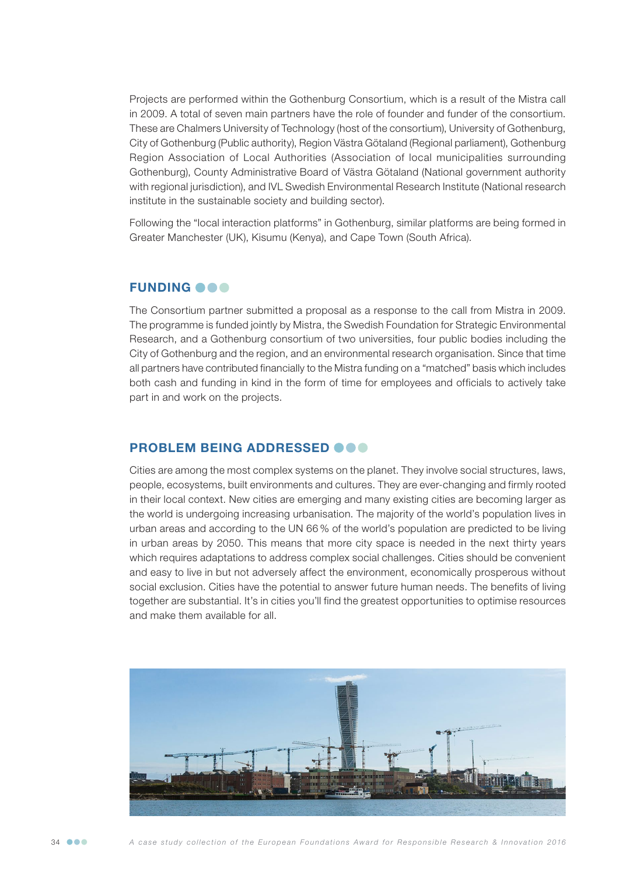Projects are performed within the Gothenburg Consortium, which is a result of the Mistra call in 2009. A total of seven main partners have the role of founder and funder of the consortium. These are Chalmers University of Technology (host of the consortium), University of Gothenburg, City of Gothenburg (Public authority), Region Västra Götaland (Regional parliament), Gothenburg Region Association of Local Authorities (Association of local municipalities surrounding Gothenburg), County Administrative Board of Västra Götaland (National government authority with regional jurisdiction), and IVL Swedish Environmental Research Institute (National research institute in the sustainable society and building sector).

Following the "local interaction platforms" in Gothenburg, similar platforms are being formed in Greater Manchester (UK), Kisumu (Kenya), and Cape Town (South Africa).

#### **FUNDING OOO**

The Consortium partner submitted a proposal as a response to the call from Mistra in 2009. The programme is funded jointly by Mistra, the Swedish Foundation for Strategic Environmental Research, and a Gothenburg consortium of two universities, four public bodies including the City of Gothenburg and the region, and an environmental research organisation. Since that time all partners have contributed financially to the Mistra funding on a "matched" basis which includes both cash and funding in kind in the form of time for employees and officials to actively take part in and work on the projects.

## PROBLEM BEING ADDRESSED **@@@**

Cities are among the most complex systems on the planet. They involve social structures, laws, people, ecosystems, built environments and cultures. They are ever-changing and firmly rooted in their local context. New cities are emerging and many existing cities are becoming larger as the world is undergoing increasing urbanisation. The majority of the world's population lives in urban areas and according to the UN 66 % of the world's population are predicted to be living in urban areas by 2050. This means that more city space is needed in the next thirty years which requires adaptations to address complex social challenges. Cities should be convenient and easy to live in but not adversely affect the environment, economically prosperous without social exclusion. Cities have the potential to answer future human needs. The benefits of living together are substantial. It's in cities you'll find the greatest opportunities to optimise resources and make them available for all.



34 *A case study collection of the European Foundations Award for Responsible Research & Innovation 2016*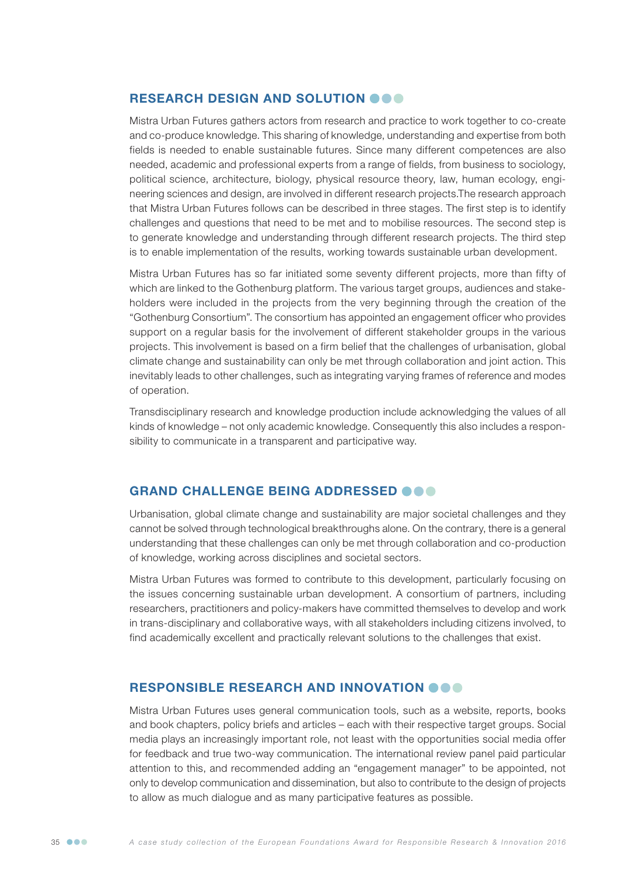## RESEARCH DESIGN AND SOLUTION OOO

Mistra Urban Futures gathers actors from research and practice to work together to co-create and co-produce knowledge. This sharing of knowledge, understanding and expertise from both fields is needed to enable sustainable futures. Since many different competences are also needed, academic and professional experts from a range of fields, from business to sociology, political science, architecture, biology, physical resource theory, law, human ecology, engineering sciences and design, are involved in different research projects.The research approach that Mistra Urban Futures follows can be described in three stages. The first step is to identify challenges and questions that need to be met and to mobilise resources. The second step is to generate knowledge and understanding through different research projects. The third step is to enable implementation of the results, working towards sustainable urban development.

Mistra Urban Futures has so far initiated some seventy different projects, more than fifty of which are linked to the Gothenburg platform. The various target groups, audiences and stakeholders were included in the projects from the very beginning through the creation of the "Gothenburg Consortium". The consortium has appointed an engagement officer who provides support on a regular basis for the involvement of different stakeholder groups in the various projects. This involvement is based on a firm belief that the challenges of urbanisation, global climate change and sustainability can only be met through collaboration and joint action. This inevitably leads to other challenges, such as integrating varying frames of reference and modes of operation.

Transdisciplinary research and knowledge production include acknowledging the values of all kinds of knowledge – not only academic knowledge. Consequently this also includes a responsibility to communicate in a transparent and participative way.

## GRAND CHALLENGE BEING ADDRESSED **@@@**

Urbanisation, global climate change and sustainability are major societal challenges and they cannot be solved through technological breakthroughs alone. On the contrary, there is a general understanding that these challenges can only be met through collaboration and co-production of knowledge, working across disciplines and societal sectors.

Mistra Urban Futures was formed to contribute to this development, particularly focusing on the issues concerning sustainable urban development. A consortium of partners, including researchers, practitioners and policy-makers have committed themselves to develop and work in trans-disciplinary and collaborative ways, with all stakeholders including citizens involved, to find academically excellent and practically relevant solutions to the challenges that exist.

## RESPONSIBLE RESEARCH AND INNOVATION **OOO**

Mistra Urban Futures uses general communication tools, such as a website, reports, books and book chapters, policy briefs and articles – each with their respective target groups. Social media plays an increasingly important role, not least with the opportunities social media offer for feedback and true two-way communication. The international review panel paid particular attention to this, and recommended adding an "engagement manager" to be appointed, not only to develop communication and dissemination, but also to contribute to the design of projects to allow as much dialogue and as many participative features as possible.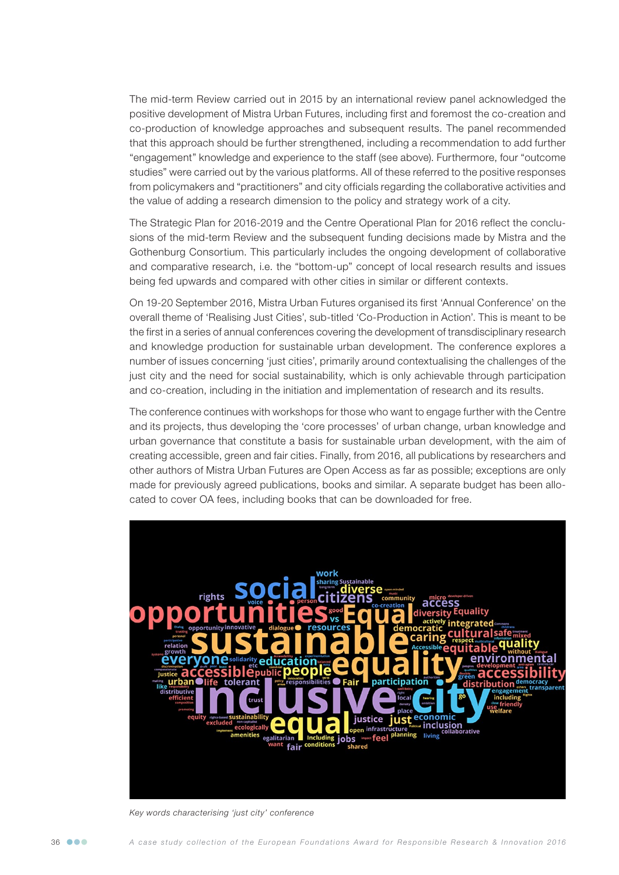The mid-term Review carried out in 2015 by an international review panel acknowledged the positive development of Mistra Urban Futures, including first and foremost the co-creation and co-production of knowledge approaches and subsequent results. The panel recommended that this approach should be further strengthened, including a recommendation to add further "engagement" knowledge and experience to the staff (see above). Furthermore, four "outcome studies" were carried out by the various platforms. All of these referred to the positive responses from policymakers and "practitioners" and city officials regarding the collaborative activities and the value of adding a research dimension to the policy and strategy work of a city.

The Strategic Plan for 2016-2019 and the Centre Operational Plan for 2016 reflect the conclusions of the mid-term Review and the subsequent funding decisions made by Mistra and the Gothenburg Consortium. This particularly includes the ongoing development of collaborative and comparative research, i.e. the "bottom-up" concept of local research results and issues being fed upwards and compared with other cities in similar or different contexts.

On 19-20 September 2016, Mistra Urban Futures organised its first 'Annual Conference' on the overall theme of 'Realising Just Cities', sub-titled 'Co-Production in Action'. This is meant to be the first in a series of annual conferences covering the development of transdisciplinary research and knowledge production for sustainable urban development. The conference explores a number of issues concerning 'just cities', primarily around contextualising the challenges of the just city and the need for social sustainability, which is only achievable through participation and co-creation, including in the initiation and implementation of research and its results.

The conference continues with workshops for those who want to engage further with the Centre and its projects, thus developing the 'core processes' of urban change, urban knowledge and urban governance that constitute a basis for sustainable urban development, with the aim of creating accessible, green and fair cities. Finally, from 2016, all publications by researchers and other authors of Mistra Urban Futures are Open Access as far as possible; exceptions are only made for previously agreed publications, books and similar. A separate budget has been allocated to cover OA fees, including books that can be downloaded for free.



*Key words characterising 'just city' conference*